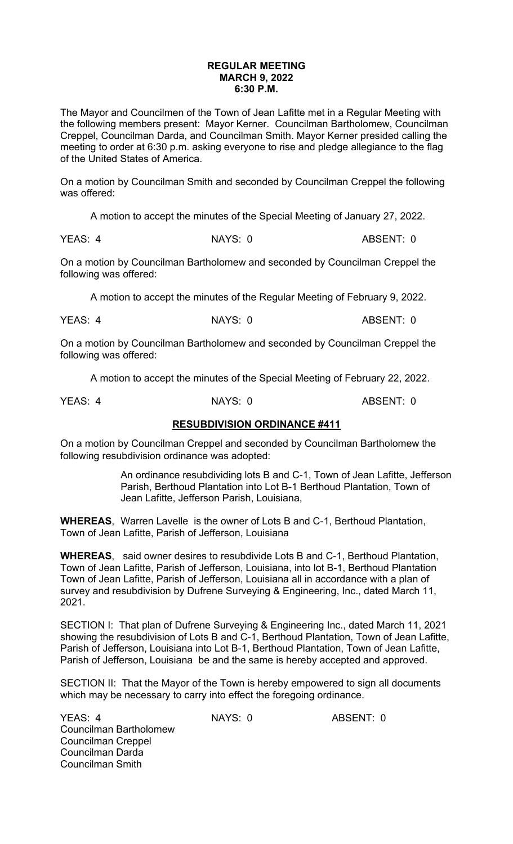#### **REGULAR MEETING MARCH 9, 2022 6:30 P.M.**

The Mayor and Councilmen of the Town of Jean Lafitte met in a Regular Meeting with the following members present: Mayor Kerner. Councilman Bartholomew, Councilman Creppel, Councilman Darda, and Councilman Smith. Mayor Kerner presided calling the meeting to order at 6:30 p.m. asking everyone to rise and pledge allegiance to the flag of the United States of America.

On a motion by Councilman Smith and seconded by Councilman Creppel the following was offered:

A motion to accept the minutes of the Special Meeting of January 27, 2022.

YEAS: 4 NAYS: 0 ABSENT: 0

On a motion by Councilman Bartholomew and seconded by Councilman Creppel the following was offered:

A motion to accept the minutes of the Regular Meeting of February 9, 2022.

On a motion by Councilman Bartholomew and seconded by Councilman Creppel the following was offered:

A motion to accept the minutes of the Special Meeting of February 22, 2022.

YEAS: 4 NAYS: 0 ABSENT: 0

#### **RESUBDIVISION ORDINANCE #411**

On a motion by Councilman Creppel and seconded by Councilman Bartholomew the following resubdivision ordinance was adopted:

> An ordinance resubdividing lots B and C-1, Town of Jean Lafitte, Jefferson Parish, Berthoud Plantation into Lot B-1 Berthoud Plantation, Town of Jean Lafitte, Jefferson Parish, Louisiana,

**WHEREAS**, Warren Lavelle is the owner of Lots B and C-1, Berthoud Plantation, Town of Jean Lafitte, Parish of Jefferson, Louisiana

**WHEREAS**, said owner desires to resubdivide Lots B and C-1, Berthoud Plantation, Town of Jean Lafitte, Parish of Jefferson, Louisiana, into lot B-1, Berthoud Plantation Town of Jean Lafitte, Parish of Jefferson, Louisiana all in accordance with a plan of survey and resubdivision by Dufrene Surveying & Engineering, Inc., dated March 11, 2021.

SECTION I: That plan of Dufrene Surveying & Engineering Inc., dated March 11, 2021 showing the resubdivision of Lots B and C-1, Berthoud Plantation, Town of Jean Lafitte, Parish of Jefferson, Louisiana into Lot B-1, Berthoud Plantation, Town of Jean Lafitte, Parish of Jefferson, Louisiana be and the same is hereby accepted and approved.

SECTION II: That the Mayor of the Town is hereby empowered to sign all documents which may be necessary to carry into effect the foregoing ordinance.

YEAS: 4 NAYS: 0 ABSENT: 0 Councilman Bartholomew Councilman Creppel Councilman Darda Councilman Smith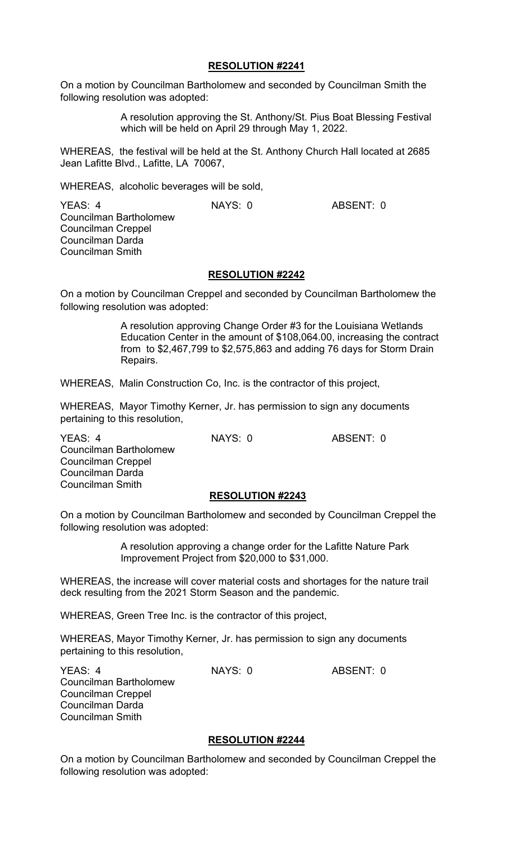#### **RESOLUTION #2241**

On a motion by Councilman Bartholomew and seconded by Councilman Smith the following resolution was adopted:

> A resolution approving the St. Anthony/St. Pius Boat Blessing Festival which will be held on April 29 through May 1, 2022.

WHEREAS, the festival will be held at the St. Anthony Church Hall located at 2685 Jean Lafitte Blvd., Lafitte, LA 70067,

WHEREAS, alcoholic beverages will be sold,

YEAS: 4 NAYS: 0 ABSENT: 0 Councilman Bartholomew Councilman Creppel Councilman Darda Councilman Smith

#### **RESOLUTION #2242**

On a motion by Councilman Creppel and seconded by Councilman Bartholomew the following resolution was adopted:

> A resolution approving Change Order #3 for the Louisiana Wetlands Education Center in the amount of \$108,064.00, increasing the contract from to \$2,467,799 to \$2,575,863 and adding 76 days for Storm Drain Repairs.

WHEREAS, Malin Construction Co, Inc. is the contractor of this project,

WHEREAS, Mayor Timothy Kerner, Jr. has permission to sign any documents pertaining to this resolution,

YEAS: 4 NAYS: 0 ABSENT: 0 Councilman Bartholomew Councilman Creppel Councilman Darda Councilman Smith

## **RESOLUTION #2243**

On a motion by Councilman Bartholomew and seconded by Councilman Creppel the following resolution was adopted:

> A resolution approving a change order for the Lafitte Nature Park Improvement Project from \$20,000 to \$31,000.

WHEREAS, the increase will cover material costs and shortages for the nature trail deck resulting from the 2021 Storm Season and the pandemic.

WHEREAS, Green Tree Inc. is the contractor of this project,

WHEREAS, Mayor Timothy Kerner, Jr. has permission to sign any documents pertaining to this resolution,

YEAS: 4 NAYS: 0 ABSENT: 0 Councilman Bartholomew Councilman Creppel Councilman Darda Councilman Smith

## **RESOLUTION #2244**

On a motion by Councilman Bartholomew and seconded by Councilman Creppel the following resolution was adopted: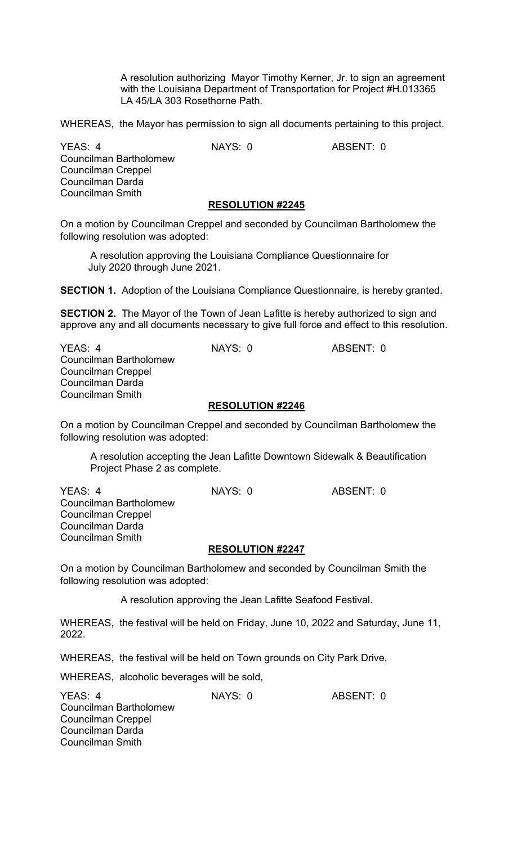A resolution authorizing Mayor Timothy Kerner, Jr. to sign an agreement with the Louisiana Department of Transportation for Project #H.013365 LA 45/LA 303 Rosethorne Path.

WHEREAS, the Mayor has permission to sign all documents pertaining to this project.

YEAS: 4 NAYS: 0 ABSENT: 0 Councilman Bartholomew Councilman Creppel Councilman Darda Councilman Smith

## **RESOLUTION #2245**

On a motion by Councilman Creppel and seconded by Councilman Bartholomew the following resolution was adopted:

A resolution approving the Louisiana Compliance Questionnaire for July 2020 through June 2021.

**SECTION 1.** Adoption of the Louisiana Compliance Questionnaire, is hereby granted.

**SECTION 2.** The Mayor of the Town of Jean Lafitte is hereby authorized to sign and approve any and all documents necessary to give full force and effect to this resolution.

YEAS: 4 NAYS: 0 ABSENT: 0 Councilman Bartholomew Councilman Creppel Councilman Darda Councilman Smith **RESOLUTION #2246**

# On a motion by Councilman Creppel and seconded by Councilman Bartholomew the following resolution was adopted:

A resolution accepting the Jean Lafitte Downtown Sidewalk & Beautification Project Phase 2 as complete.

YEAS: 4 NAYS: 0 ABSENT: 0 Councilman Bartholomew Councilman Creppel Councilman Darda Councilman Smith

## **RESOLUTION #2247**

On a motion by Councilman Bartholomew and seconded by Councilman Smith the following resolution was adopted:

A resolution approving the Jean Lafitte Seafood Festival.

WHEREAS, the festival will be held on Friday, June 10, 2022 and Saturday, June 11, 2022.

WHEREAS, the festival will be held on Town grounds on City Park Drive,

WHEREAS, alcoholic beverages will be sold,

YEAS: 4 NAYS: 0 ABSENT: 0 Councilman Bartholomew Councilman Creppel Councilman Darda Councilman Smith